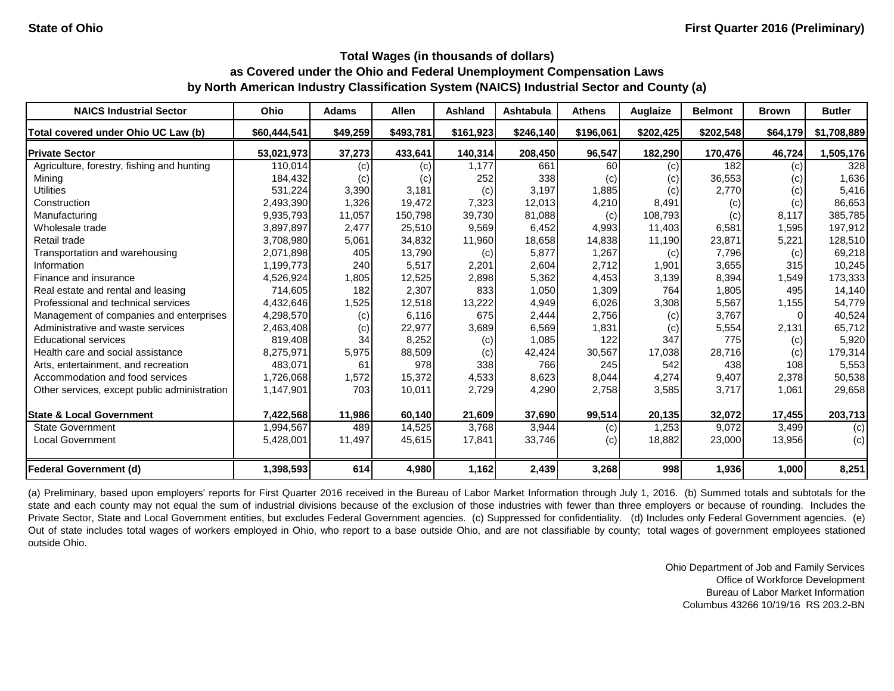| <b>NAICS Industrial Sector</b>               | <b>Ohio</b>  | <b>Adams</b> | <b>Allen</b> | <b>Ashland</b> | Ashtabula | <b>Athens</b> | Auglaize  | <b>Belmont</b> | <b>Brown</b> | <b>Butler</b> |
|----------------------------------------------|--------------|--------------|--------------|----------------|-----------|---------------|-----------|----------------|--------------|---------------|
| Total covered under Ohio UC Law (b)          | \$60,444,541 | \$49,259     | \$493,781    | \$161,923      | \$246,140 | \$196,061     | \$202,425 | \$202,548      | \$64,179     | \$1,708,889   |
| <b>Private Sector</b>                        | 53,021,973   | 37,273       | 433,641      | 140,314        | 208,450   | 96,547        | 182,290   | 170,476        | 46,724       | 1,505,176     |
| Agriculture, forestry, fishing and hunting   | 110.014      | (c)          | (c)          | 1.177          | 661       | 60            | (c)       | 182            | (c)          | 328           |
| Mining                                       | 184,432      | (c)          | (c)          | 252            | 338       | (c)           | (c)       | 36,553         | (c)          | 1,636         |
| <b>Utilities</b>                             | 531,224      | 3,390        | 3,181        | (c)            | 3,197     | 1,885         | (c)       | 2,770          | (c)          | 5,416         |
| Construction                                 | 2,493,390    | 1,326        | 19,472       | 7,323          | 12,013    | 4,210         | 8,491     | (c)            | (c)          | 86,653        |
| Manufacturing                                | 9,935,793    | 11,057       | 150,798      | 39,730         | 81,088    | (c)           | 108,793   | (c)            | 8,117        | 385,785       |
| Wholesale trade                              | 3,897,897    | 2,477        | 25,510       | 9,569          | 6,452     | 4,993         | 11,403    | 6,581          | 1,595        | 197,912       |
| Retail trade                                 | 3,708,980    | 5,061        | 34,832       | 11,960         | 18,658    | 14,838        | 11,190    | 23,871         | 5,221        | 128,510       |
| Transportation and warehousing               | 2,071,898    | 405          | 13,790       | (c)            | 5,877     | 1,267         | (c)       | 7,796          | (c)          | 69,218        |
| Information                                  | 1,199,773    | 240          | 5,517        | 2,201          | 2,604     | 2,712         | 1,901     | 3,655          | 315          | 10,245        |
| Finance and insurance                        | 4,526,924    | 1,805        | 12,525       | 2,898          | 5,362     | 4,453         | 3,139     | 8,394          | 1,549        | 173,333       |
| Real estate and rental and leasing           | 714,605      | 182          | 2,307        | 833            | 1,050     | 1,309         | 764       | 1,805          | 495          | 14,140        |
| Professional and technical services          | 4,432,646    | 1,525        | 12,518       | 13,222         | 4,949     | 6,026         | 3,308     | 5,567          | 1,155        | 54,779        |
| Management of companies and enterprises      | 4,298,570    | (c)          | 6,116        | 675            | 2,444     | 2,756         | (c)       | 3,767          |              | 40,524        |
| Administrative and waste services            | 2,463,408    | (c)          | 22,977       | 3,689          | 6,569     | 1,831         | (c)       | 5,554          | 2,131        | 65,712        |
| <b>Educational services</b>                  | 819,408      | 34           | 8,252        | (c)            | 1,085     | 122           | 347       | 775            | (c)          | 5,920         |
| Health care and social assistance            | 8,275,971    | 5,975        | 88,509       | (c)            | 42,424    | 30,567        | 17,038    | 28,716         | (c)          | 179,314       |
| Arts, entertainment, and recreation          | 483,071      | 61           | 978          | 338            | 766       | 245           | 542       | 438            | 108          | 5,553         |
| Accommodation and food services              | 1,726,068    | 1,572        | 15,372       | 4,533          | 8,623     | 8,044         | 4,274     | 9,407          | 2,378        | 50,538        |
| Other services, except public administration | 1,147,901    | 703          | 10,011       | 2,729          | 4,290     | 2,758         | 3,585     | 3,717          | 1,061        | 29,658        |
| <b>State &amp; Local Government</b>          | 7,422,568    | 11,986       | 60,140       | 21,609         | 37,690    | 99,514        | 20,135    | 32,072         | 17,455       | 203,713       |
| <b>State Government</b>                      | 1,994,567    | 489          | 14,525       | 3,768          | 3,944     | (c)           | 1,253     | 9,072          | 3,499        | (c)           |
| <b>Local Government</b>                      | 5,428,001    | 11,497       | 45,615       | 17,841         | 33,746    | (c)           | 18,882    | 23,000         | 13,956       | (c)           |
| <b>Federal Government (d)</b>                | 1,398,593    | 614          | 4,980        | 1,162          | 2,439     | 3,268         | 998       | 1,936          | 1,000        | 8,251         |

(a) Preliminary, based upon employers' reports for First Quarter 2016 received in the Bureau of Labor Market Information through July 1, 2016. (b) Summed totals and subtotals for the state and each county may not equal the sum of industrial divisions because of the exclusion of those industries with fewer than three employers or because of rounding. Includes the Private Sector, State and Local Government entities, but excludes Federal Government agencies. (c) Suppressed for confidentiality. (d) Includes only Federal Government agencies. (e) Out of state includes total wages of workers employed in Ohio, who report to a base outside Ohio, and are not classifiable by county; total wages of government employees stationed outside Ohio.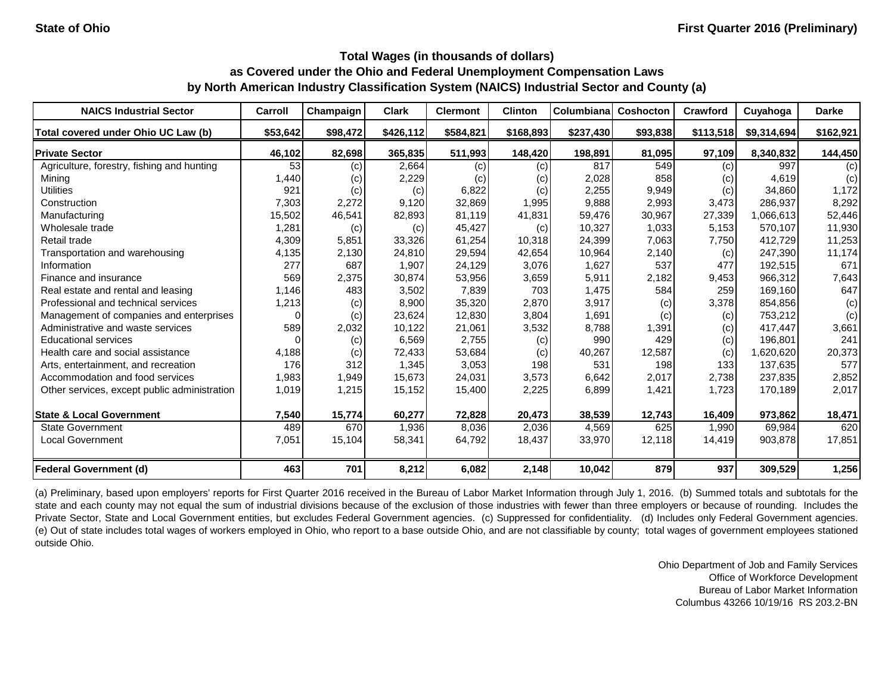| <b>NAICS Industrial Sector</b>               | Carroll  | Champaign | <b>Clark</b> | <b>Clermont</b> | <b>Clinton</b> | <b>Columbiana</b> | Coshocton | <b>Crawford</b> | Cuyahoga    | <b>Darke</b> |
|----------------------------------------------|----------|-----------|--------------|-----------------|----------------|-------------------|-----------|-----------------|-------------|--------------|
| Total covered under Ohio UC Law (b)          | \$53,642 | \$98,472  | \$426,112    | \$584,821       | \$168,893      | \$237,430         | \$93,838  | \$113,518       | \$9,314,694 | \$162,921    |
| <b>Private Sector</b>                        | 46,102   | 82,698    | 365,835      | 511,993         | 148,420        | 198,891           | 81,095    | 97,109          | 8,340,832   | 144,450      |
| Agriculture, forestry, fishing and hunting   | 53       | (c)       | 2,664        | (c)             | (c)            | 817               | 549       | (c)             | 997         | (c)          |
| Minina                                       | 1,440    | (c)       | 2,229        | (c)             | (c)            | 2,028             | 858       | (c)             | 4,619       | (c)          |
| <b>Utilities</b>                             | 921      | (c)       | (c)          | 6,822           | (c)            | 2,255             | 9,949     | (c)             | 34.860      | 1,172        |
| Construction                                 | 7,303    | 2,272     | 9,120        | 32,869          | 1,995          | 9,888             | 2,993     | 3,473           | 286,937     | 8,292        |
| Manufacturing                                | 15,502   | 46,541    | 82,893       | 81.119          | 41,831         | 59,476            | 30,967    | 27,339          | 1,066,613   | 52,446       |
| Wholesale trade                              | 1,281    | (c)       | (c)          | 45,427          | (c)            | 10,327            | 1,033     | 5,153           | 570,107     | 11,930       |
| Retail trade                                 | 4,309    | 5,851     | 33,326       | 61,254          | 10,318         | 24,399            | 7,063     | 7,750           | 412,729     | 11,253       |
| Transportation and warehousing               | 4,135    | 2,130     | 24,810       | 29,594          | 42,654         | 10,964            | 2,140     | (c)             | 247,390     | 11,174       |
| Information                                  | 277      | 687       | 1,907        | 24,129          | 3,076          | 1,627             | 537       | 477             | 192,515     | 671          |
| Finance and insurance                        | 569      | 2,375     | 30,874       | 53,956          | 3,659          | 5,911             | 2,182     | 9,453           | 966,312     | 7,643        |
| Real estate and rental and leasing           | 1,146    | 483       | 3,502        | 7,839           | 703            | 1,475             | 584       | 259             | 169,160     | 647          |
| Professional and technical services          | 1,213    | (c)       | 8,900        | 35,320          | 2,870          | 3,917             | (c)       | 3,378           | 854,856     | (c)          |
| Management of companies and enterprises      | 0        | (c)       | 23,624       | 12,830          | 3,804          | 1,691             | (c)       | (c)             | 753,212     | (c)          |
| Administrative and waste services            | 589      | 2,032     | 10,122       | 21,061          | 3,532          | 8,788             | 1,391     | (c)             | 417,447     | 3,661        |
| <b>Educational services</b>                  |          | (c)       | 6,569        | 2,755           | (c)            | 990               | 429       | (c)             | 196,801     | 241          |
| Health care and social assistance            | 4,188    | (c)       | 72,433       | 53,684          | (c)            | 40,267            | 12,587    | (c)             | 1,620,620   | 20,373       |
| Arts, entertainment, and recreation          | 176      | 312       | 1,345        | 3,053           | 198            | 531               | 198       | 133             | 137,635     | 577          |
| Accommodation and food services              | 1,983    | 1,949     | 15,673       | 24,031          | 3,573          | 6,642             | 2,017     | 2,738           | 237,835     | 2,852        |
| Other services, except public administration | 1,019    | 1,215     | 15,152       | 15,400          | 2,225          | 6,899             | 1,421     | 1,723           | 170,189     | 2,017        |
| <b>State &amp; Local Government</b>          | 7,540    | 15,774    | 60,277       | 72,828          | 20,473         | 38,539            | 12,743    | 16,409          | 973,862     | 18,471       |
| <b>State Government</b>                      | 489      | 670       | 1,936        | 8,036           | 2,036          | 4,569             | 625       | 1,990           | 69,984      | 620          |
| <b>Local Government</b>                      | 7,051    | 15,104    | 58,341       | 64,792          | 18,437         | 33,970            | 12,118    | 14,419          | 903,878     | 17,851       |
| <b>Federal Government (d)</b>                | 463      | 701       | 8,212        | 6,082           | 2,148          | 10,042            | 879       | 937             | 309,529     | 1,256        |

(a) Preliminary, based upon employers' reports for First Quarter 2016 received in the Bureau of Labor Market Information through July 1, 2016. (b) Summed totals and subtotals for the state and each county may not equal the sum of industrial divisions because of the exclusion of those industries with fewer than three employers or because of rounding. Includes the Private Sector, State and Local Government entities, but excludes Federal Government agencies. (c) Suppressed for confidentiality. (d) Includes only Federal Government agencies. (e) Out of state includes total wages of workers employed in Ohio, who report to a base outside Ohio, and are not classifiable by county; total wages of government employees stationed outside Ohio.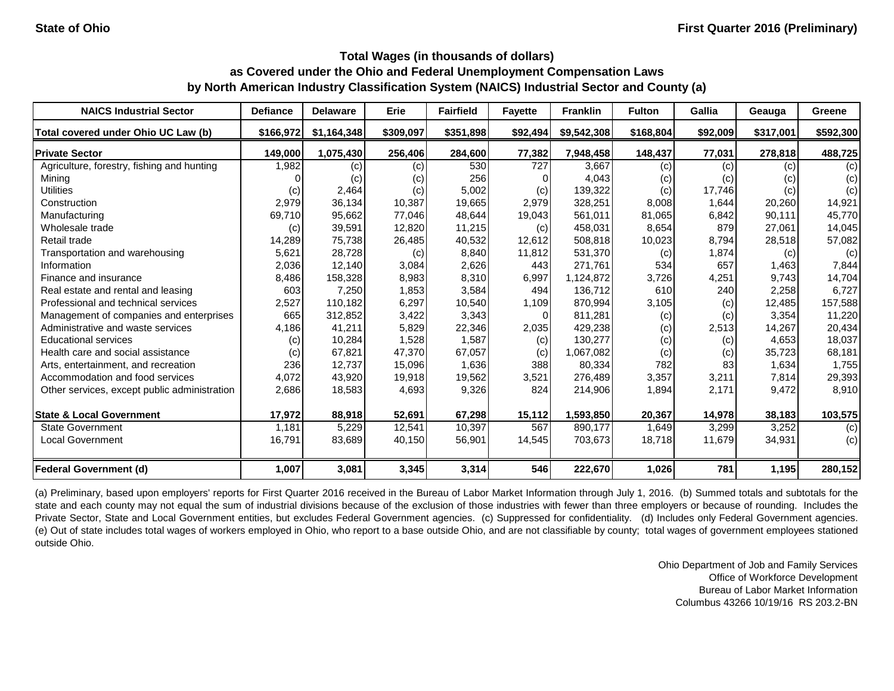| <b>NAICS Industrial Sector</b>               | <b>Defiance</b> | <b>Delaware</b> | Erie      | <b>Fairfield</b> | <b>Fayette</b> | <b>Franklin</b> | <b>Fulton</b> | Gallia   | Geauga    | Greene    |
|----------------------------------------------|-----------------|-----------------|-----------|------------------|----------------|-----------------|---------------|----------|-----------|-----------|
| Total covered under Ohio UC Law (b)          | \$166,972       | \$1,164,348     | \$309,097 | \$351,898        | \$92,494       | \$9,542,308     | \$168,804     | \$92,009 | \$317,001 | \$592,300 |
| <b>Private Sector</b>                        | 149,000         | 1,075,430       | 256,406   | 284,600          | 77,382         | 7,948,458       | 148,437       | 77,031   | 278,818   | 488,725   |
| Agriculture, forestry, fishing and hunting   | 1,982           | (c)             | (c)       | 530              | 727            | 3,667           | (c)           | (c)      | (c)       | (c)       |
| Mining                                       |                 | (c)             | (c)       | 256              | 0              | 4,043           | (c)           | (c)      | (c)       | (c)       |
| <b>Utilities</b>                             | (c)             | 2,464           | (c)       | 5,002            | (c)            | 139,322         | (c)           | 17,746   | (c)       | (c)       |
| Construction                                 | 2,979           | 36,134          | 10,387    | 19,665           | 2,979          | 328,251         | 8,008         | 1,644    | 20,260    | 14,921    |
| Manufacturing                                | 69,710          | 95,662          | 77,046    | 48,644           | 19,043         | 561,011         | 81,065        | 6,842    | 90,111    | 45,770    |
| Wholesale trade                              | (c)             | 39,591          | 12,820    | 11,215           | (c)            | 458,031         | 8,654         | 879      | 27,061    | 14,045    |
| Retail trade                                 | 14,289          | 75,738          | 26,485    | 40,532           | 12,612         | 508,818         | 10,023        | 8,794    | 28,518    | 57,082    |
| Transportation and warehousing               | 5,621           | 28,728          | (c)       | 8,840            | 11,812         | 531,370         | (c)           | 1,874    | (c)       | (c)       |
| Information                                  | 2,036           | 12,140          | 3,084     | 2,626            | 443            | 271,761         | 534           | 657      | 1,463     | 7,844     |
| Finance and insurance                        | 8,486           | 158,328         | 8,983     | 8,310            | 6,997          | 1,124,872       | 3,726         | 4,251    | 9,743     | 14,704    |
| Real estate and rental and leasing           | 603             | 7,250           | 1,853     | 3,584            | 494            | 136,712         | 610           | 240      | 2,258     | 6,727     |
| Professional and technical services          | 2,527           | 110,182         | 6,297     | 10,540           | 1,109          | 870,994         | 3,105         | (c)      | 12,485    | 157,588   |
| Management of companies and enterprises      | 665             | 312,852         | 3,422     | 3,343            | $\Omega$       | 811,281         | (c)           | (c)      | 3,354     | 11,220    |
| Administrative and waste services            | 4,186           | 41,211          | 5,829     | 22,346           | 2,035          | 429,238         | (c)           | 2,513    | 14,267    | 20,434    |
| <b>Educational services</b>                  | (c)             | 10,284          | 1,528     | 1,587            | (c)            | 130,277         | (c)           | (c)      | 4,653     | 18,037    |
| Health care and social assistance            | (c)             | 67,821          | 47,370    | 67,057           | (c)            | 1,067,082       | (c)           | (c)      | 35,723    | 68,181    |
| Arts, entertainment, and recreation          | 236             | 12,737          | 15,096    | 1,636            | 388            | 80,334          | 782           | 83       | 1,634     | 1,755     |
| Accommodation and food services              | 4,072           | 43,920          | 19,918    | 19,562           | 3,521          | 276,489         | 3,357         | 3,211    | 7,814     | 29,393    |
| Other services, except public administration | 2,686           | 18,583          | 4,693     | 9,326            | 824            | 214,906         | 1,894         | 2,171    | 9,472     | 8,910     |
| <b>State &amp; Local Government</b>          | 17,972          | 88,918          | 52,691    | 67,298           | 15,112         | 1,593,850       | 20,367        | 14,978   | 38,183    | 103,575   |
| <b>State Government</b>                      | 1,181           | 5,229           | 12,541    | 10,397           | 567            | 890,177         | 1,649         | 3,299    | 3,252     | (c)       |
| Local Government                             | 16,791          | 83,689          | 40,150    | 56,901           | 14,545         | 703,673         | 18,718        | 11,679   | 34,931    | (c)       |
| <b>Federal Government (d)</b>                | 1,007           | 3,081           | 3,345     | 3,314            | 546            | 222,670         | 1,026         | 781      | 1,195     | 280,152   |

(a) Preliminary, based upon employers' reports for First Quarter 2016 received in the Bureau of Labor Market Information through July 1, 2016. (b) Summed totals and subtotals for the state and each county may not equal the sum of industrial divisions because of the exclusion of those industries with fewer than three employers or because of rounding. Includes the Private Sector, State and Local Government entities, but excludes Federal Government agencies. (c) Suppressed for confidentiality. (d) Includes only Federal Government agencies. (e) Out of state includes total wages of workers employed in Ohio, who report to a base outside Ohio, and are not classifiable by county; total wages of government employees stationed outside Ohio.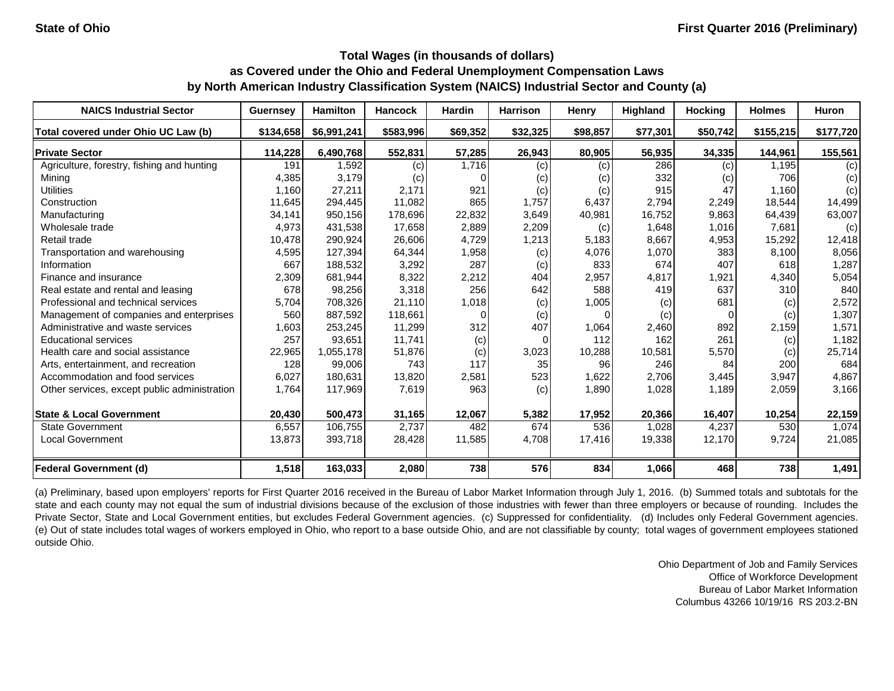| <b>NAICS Industrial Sector</b>               | <b>Guernsey</b> | <b>Hamilton</b> | <b>Hancock</b> | <b>Hardin</b> | <b>Harrison</b> | <b>Henry</b>               | <b>Highland</b> | <b>Hocking</b> | <b>Holmes</b> | Huron     |
|----------------------------------------------|-----------------|-----------------|----------------|---------------|-----------------|----------------------------|-----------------|----------------|---------------|-----------|
| Total covered under Ohio UC Law (b)          | \$134,658       | \$6,991,241     | \$583,996      | \$69,352      | \$32,325        | \$98,857                   | \$77,301        | \$50,742       | \$155,215     | \$177,720 |
| <b>Private Sector</b>                        | 114,228         | 6,490,768       | 552,831        | 57,285        | 26,943          | 80,905                     | 56,935          | 34,335         | 144,961       | 155,561   |
| Agriculture, forestry, fishing and hunting   | 191             | 1,592           | (c)            | 1.716         | (c)             | (c)                        | 286             | (c)            | 1,195         | (c)       |
| Minina                                       | 4,385           | 3.179           | (c)            |               | (c)             | $\left( \mathrm{c}\right)$ | 332             | (c)            | 706           | (c)       |
| <b>Utilities</b>                             | 1,160           | 27,211          | 2,171          | 921           | (c)             | (c)                        | 915             | 47             | 1,160         | (c)       |
| Construction                                 | 11,645          | 294,445         | 11,082         | 865           | 1,757           | 6,437                      | 2,794           | 2,249          | 18.544        | 14,499    |
| Manufacturing                                | 34,141          | 950,156         | 178,696        | 22,832        | 3,649           | 40,981                     | 16,752          | 9,863          | 64,439        | 63,007    |
| Wholesale trade                              | 4,973           | 431,538         | 17,658         | 2,889         | 2,209           | (c)                        | 1,648           | 1,016          | 7,681         | (c)       |
| Retail trade                                 | 10,478          | 290,924         | 26,606         | 4,729         | 1,213           | 5,183                      | 8,667           | 4,953          | 15,292        | 12,418    |
| Transportation and warehousing               | 4,595           | 127,394         | 64,344         | 1,958         | (c)             | 4,076                      | 1,070           | 383            | 8,100         | 8,056     |
| Information                                  | 667             | 188,532         | 3,292          | 287           | (c)             | 833                        | 674             | 407            | 618           | 1,287     |
| Finance and insurance                        | 2,309           | 681,944         | 8,322          | 2,212         | 404             | 2,957                      | 4,817           | 1,921          | 4,340         | 5,054     |
| Real estate and rental and leasing           | 678             | 98,256          | 3,318          | 256           | 642             | 588                        | 419             | 637            | 310           | 840       |
| Professional and technical services          | 5,704           | 708.326         | 21.110         | 1,018         | (c)             | 1,005                      | (c)             | 681            | (c)           | 2,572     |
| Management of companies and enterprises      | 560             | 887,592         | 118,661        |               | (c)             |                            | (c)             | $\Omega$       | (c)           | 1,307     |
| Administrative and waste services            | 1,603           | 253,245         | 11,299         | 312           | 407             | 1,064                      | 2,460           | 892            | 2,159         | 1,571     |
| <b>Educational services</b>                  | 257             | 93,651          | 11,741         | (c)           | $\Omega$        | 112                        | 162             | 261            | (c)           | 1,182     |
| Health care and social assistance            | 22,965          | 1,055,178       | 51,876         | (c)           | 3,023           | 10,288                     | 10,581          | 5,570          | (c)           | 25,714    |
| Arts, entertainment, and recreation          | 128             | 99,006          | 743            | 117           | 35              | 96                         | 246             | 84             | 200           | 684       |
| Accommodation and food services              | 6,027           | 180,631         | 13,820         | 2,581         | 523             | 1,622                      | 2,706           | 3,445          | 3,947         | 4,867     |
| Other services, except public administration | 1,764           | 117,969         | 7,619          | 963           | (c)             | 1,890                      | 1,028           | 1,189          | 2,059         | 3,166     |
| <b>State &amp; Local Government</b>          | 20,430          | 500,473         | 31,165         | 12,067        | 5,382           | 17,952                     | 20,366          | 16,407         | 10,254        | 22,159    |
| <b>State Government</b>                      | 6,557           | 106,755         | 2,737          | 482           | 674             | 536                        | 1,028           | 4,237          | 530           | 1,074     |
| <b>Local Government</b>                      | 13,873          | 393,718         | 28,428         | 11,585        | 4,708           | 17,416                     | 19,338          | 12,170         | 9,724         | 21,085    |
| <b>Federal Government (d)</b>                | 1,518           | 163,033         | 2,080          | 738           | 576             | 834                        | 1,066           | 468            | 738           | 1,491     |

(a) Preliminary, based upon employers' reports for First Quarter 2016 received in the Bureau of Labor Market Information through July 1, 2016. (b) Summed totals and subtotals for the state and each county may not equal the sum of industrial divisions because of the exclusion of those industries with fewer than three employers or because of rounding. Includes the Private Sector, State and Local Government entities, but excludes Federal Government agencies. (c) Suppressed for confidentiality. (d) Includes only Federal Government agencies. (e) Out of state includes total wages of workers employed in Ohio, who report to a base outside Ohio, and are not classifiable by county; total wages of government employees stationed outside Ohio.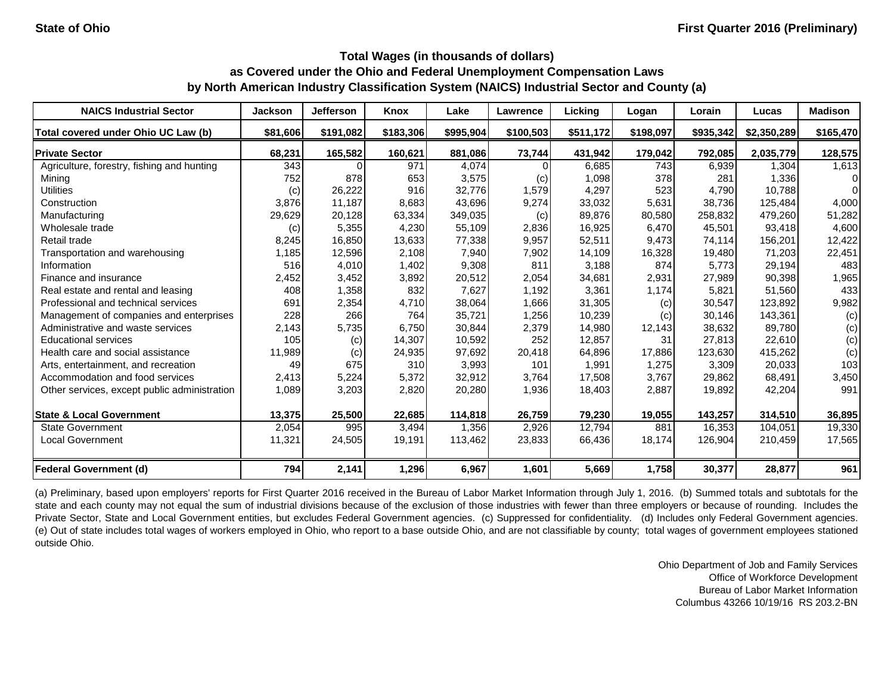| <b>NAICS Industrial Sector</b>               | <b>Jackson</b> | <b>Jefferson</b> | Knox      | Lake      | Lawrence  | Licking   | Logan     | Lorain    | Lucas       | <b>Madison</b> |
|----------------------------------------------|----------------|------------------|-----------|-----------|-----------|-----------|-----------|-----------|-------------|----------------|
| Total covered under Ohio UC Law (b)          | \$81,606       | \$191,082        | \$183,306 | \$995,904 | \$100,503 | \$511,172 | \$198,097 | \$935,342 | \$2,350,289 | \$165,470      |
| <b>Private Sector</b>                        | 68,231         | 165,582          | 160,621   | 881.086   | 73,744    | 431,942   | 179,042   | 792,085   | 2,035,779   | 128,575        |
| Agriculture, forestry, fishing and hunting   | 343            |                  | 971       | 4.074     | $\Omega$  | 6,685     | 743       | 6,939     | 1.304       | 1,613          |
| Mining                                       | 752            | 878              | 653       | 3,575     | (c)       | 1,098     | 378       | 281       | 1,336       | 0              |
| <b>Utilities</b>                             | (c)            | 26,222           | 916       | 32.776    | 1,579     | 4,297     | 523       | 4,790     | 10.788      | 0              |
| Construction                                 | 3,876          | 11,187           | 8,683     | 43,696    | 9,274     | 33,032    | 5,631     | 38,736    | 125,484     | 4,000          |
| Manufacturing                                | 29,629         | 20,128           | 63,334    | 349,035   | (c)       | 89,876    | 80,580    | 258,832   | 479,260     | 51,282         |
| Wholesale trade                              | (c)            | 5,355            | 4,230     | 55,109    | 2,836     | 16,925    | 6,470     | 45,501    | 93,418      | 4,600          |
| Retail trade                                 | 8,245          | 16,850           | 13,633    | 77,338    | 9,957     | 52,511    | 9,473     | 74,114    | 156,201     | 12,422         |
| Transportation and warehousing               | 1,185          | 12,596           | 2,108     | 7,940     | 7,902     | 14,109    | 16,328    | 19,480    | 71,203      | 22,451         |
| Information                                  | 516            | 4,010            | 1,402     | 9,308     | 811       | 3,188     | 874       | 5.773     | 29,194      | 483            |
| Finance and insurance                        | 2,452          | 3,452            | 3,892     | 20,512    | 2,054     | 34,681    | 2,931     | 27,989    | 90,398      | 1,965          |
| Real estate and rental and leasing           | 408            | 1,358            | 832       | 7,627     | 1,192     | 3,361     | 1,174     | 5,821     | 51,560      | 433            |
| Professional and technical services          | 691            | 2,354            | 4,710     | 38,064    | 1,666     | 31,305    | (c)       | 30.547    | 123,892     | 9,982          |
| Management of companies and enterprises      | 228            | 266              | 764       | 35,721    | 1,256     | 10,239    | (c)       | 30,146    | 143,361     | (c)            |
| Administrative and waste services            | 2,143          | 5,735            | 6,750     | 30,844    | 2,379     | 14,980    | 12,143    | 38,632    | 89,780      | (c)            |
| <b>Educational services</b>                  | 105            | (c)              | 14,307    | 10,592    | 252       | 12,857    | 31        | 27,813    | 22,610      | (c)            |
| Health care and social assistance            | 11,989         | (c)              | 24,935    | 97,692    | 20,418    | 64,896    | 17,886    | 123.630   | 415,262     | (c)            |
| Arts, entertainment, and recreation          | 49             | 675              | 310       | 3,993     | 101       | 1,991     | 1,275     | 3,309     | 20,033      | 103            |
| Accommodation and food services              | 2,413          | 5,224            | 5,372     | 32,912    | 3,764     | 17,508    | 3,767     | 29,862    | 68,491      | 3,450          |
| Other services, except public administration | 1,089          | 3,203            | 2,820     | 20,280    | 1,936     | 18,403    | 2,887     | 19,892    | 42,204      | 991            |
| <b>State &amp; Local Government</b>          | 13,375         | 25,500           | 22,685    | 114,818   | 26,759    | 79,230    | 19,055    | 143,257   | 314,510     | 36,895         |
| <b>State Government</b>                      | 2,054          | 995              | 3,494     | 1,356     | 2,926     | 12,794    | 881       | 16,353    | 104,051     | 19,330         |
| <b>Local Government</b>                      | 11,321         | 24,505           | 19,191    | 113,462   | 23,833    | 66,436    | 18,174    | 126,904   | 210,459     | 17,565         |
| <b>Federal Government (d)</b>                | 794            | 2,141            | 1,296     | 6,967     | 1,601     | 5,669     | 1,758     | 30,377    | 28,877      | 961            |

(a) Preliminary, based upon employers' reports for First Quarter 2016 received in the Bureau of Labor Market Information through July 1, 2016. (b) Summed totals and subtotals for the state and each county may not equal the sum of industrial divisions because of the exclusion of those industries with fewer than three employers or because of rounding. Includes the Private Sector, State and Local Government entities, but excludes Federal Government agencies. (c) Suppressed for confidentiality. (d) Includes only Federal Government agencies. (e) Out of state includes total wages of workers employed in Ohio, who report to a base outside Ohio, and are not classifiable by county; total wages of government employees stationed outside Ohio.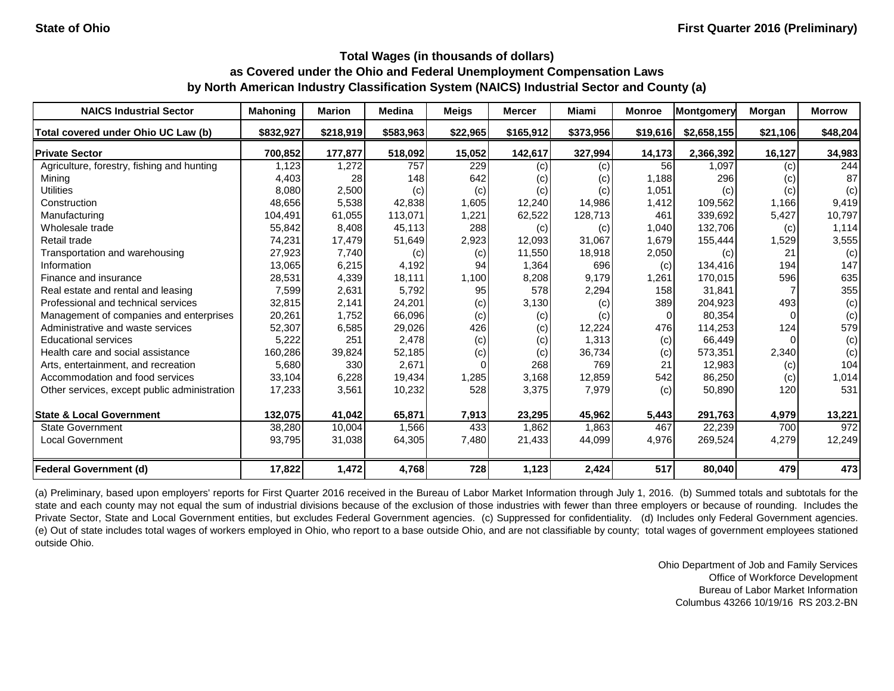| <b>NAICS Industrial Sector</b>               | <b>Mahoning</b> | <b>Marion</b> | <b>Medina</b> | <b>Meigs</b> | <b>Mercer</b> | Miami     | <b>Monroe</b> | Montgomery  | Morgan   | <b>Morrow</b> |
|----------------------------------------------|-----------------|---------------|---------------|--------------|---------------|-----------|---------------|-------------|----------|---------------|
| Total covered under Ohio UC Law (b)          | \$832,927       | \$218,919     | \$583,963     | \$22,965     | \$165,912     | \$373,956 | \$19,616      | \$2,658,155 | \$21,106 | \$48,204      |
| <b>Private Sector</b>                        | 700,852         | 177,877       | 518,092       | 15,052       | 142,617       | 327,994   | 14,173        | 2,366,392   | 16,127   | 34,983        |
| Agriculture, forestry, fishing and hunting   | 1,123           | 1,272         | 757           | 229          | (c)           | (c)       | 56            | 1,097       | (c)      | 244           |
| Mining                                       | 4,403           | 28            | 148           | 642          | (c)           | (c)       | 1,188         | 296         | (c)      | 87            |
| <b>Utilities</b>                             | 8,080           | 2,500         | (c)           | (c)          | (c)           | (c)       | 1,051         | (c)         | (c)      | (c)           |
| Construction                                 | 48,656          | 5,538         | 42,838        | 1,605        | 12,240        | 14,986    | 1,412         | 109,562     | 1,166    | 9,419         |
| Manufacturing                                | 104,491         | 61,055        | 113,071       | 1,221        | 62,522        | 128,713   | 461           | 339,692     | 5,427    | 10,797        |
| Wholesale trade                              | 55,842          | 8,408         | 45,113        | 288          | (c)           | (c)       | 1,040         | 132,706     | (c)      | 1,114         |
| Retail trade                                 | 74,231          | 17,479        | 51,649        | 2,923        | 12,093        | 31,067    | 1,679         | 155,444     | 1,529    | 3,555         |
| Transportation and warehousing               | 27,923          | 7,740         | (c)           | (c)          | 11,550        | 18,918    | 2,050         | (c)         | 21       | (c)           |
| Information                                  | 13,065          | 6,215         | 4,192         | 94           | 1,364         | 696       | (c)           | 134,416     | 194      | 147           |
| Finance and insurance                        | 28,531          | 4,339         | 18,111        | 1,100        | 8,208         | 9,179     | 1,261         | 170,015     | 596      | 635           |
| Real estate and rental and leasing           | 7,599           | 2,631         | 5,792         | 95           | 578           | 2,294     | 158           | 31.841      |          | 355           |
| Professional and technical services          | 32,815          | 2,141         | 24,201        | (c)          | 3,130         | (c)       | 389           | 204,923     | 493      | (c)           |
| Management of companies and enterprises      | 20,261          | 1,752         | 66,096        | (c)          | (c)           | (c)       |               | 80,354      |          | (c)           |
| Administrative and waste services            | 52,307          | 6,585         | 29,026        | 426          | (c)           | 12,224    | 476           | 114,253     | 124      | 579           |
| <b>Educational services</b>                  | 5,222           | 251           | 2,478         | (c)          | (c)           | 1,313     | (c)           | 66,449      |          | (c)           |
| Health care and social assistance            | 160,286         | 39,824        | 52,185        | (c)          | (c)           | 36,734    | (c)           | 573,351     | 2,340    | (c)           |
| Arts, entertainment, and recreation          | 5,680           | 330           | 2,671         |              | 268           | 769       | 21            | 12,983      | (c)      | 104           |
| Accommodation and food services              | 33,104          | 6,228         | 19,434        | 1,285        | 3,168         | 12,859    | 542           | 86,250      | (c)      | 1,014         |
| Other services, except public administration | 17,233          | 3,561         | 10,232        | 528          | 3,375         | 7,979     | (c)           | 50,890      | 120      | 531           |
| <b>State &amp; Local Government</b>          | 132,075         | 41,042        | 65,871        | 7,913        | 23,295        | 45,962    | 5,443         | 291,763     | 4,979    | 13,221        |
| <b>State Government</b>                      | 38,280          | 10,004        | 1,566         | 433          | 1,862         | 1,863     | 467           | 22,239      | 700      | 972           |
| Local Government                             | 93,795          | 31,038        | 64,305        | 7,480        | 21,433        | 44,099    | 4,976         | 269,524     | 4,279    | 12,249        |
| <b>Federal Government (d)</b>                | 17,822          | 1,472         | 4,768         | 728          | 1,123         | 2,424     | 517           | 80,040      | 479      | 473           |

(a) Preliminary, based upon employers' reports for First Quarter 2016 received in the Bureau of Labor Market Information through July 1, 2016. (b) Summed totals and subtotals for the state and each county may not equal the sum of industrial divisions because of the exclusion of those industries with fewer than three employers or because of rounding. Includes the Private Sector, State and Local Government entities, but excludes Federal Government agencies. (c) Suppressed for confidentiality. (d) Includes only Federal Government agencies. (e) Out of state includes total wages of workers employed in Ohio, who report to a base outside Ohio, and are not classifiable by county; total wages of government employees stationed outside Ohio.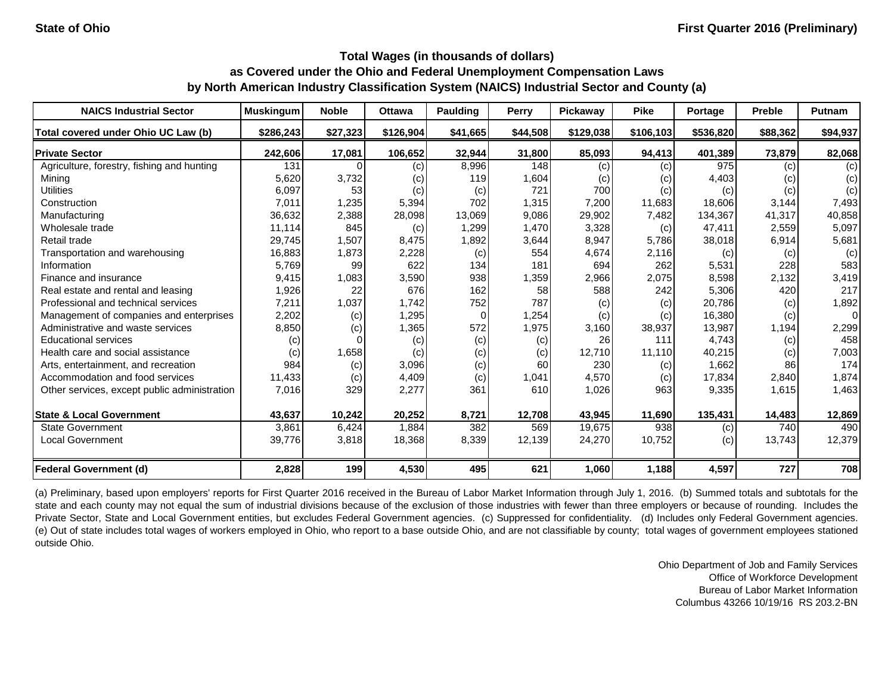| <b>NAICS Industrial Sector</b>               | <b>Muskingum</b> | <b>Noble</b> | <b>Ottawa</b> | Paulding | Perry    | Pickaway  | <b>Pike</b> | Portage   | <b>Preble</b> | <b>Putnam</b> |
|----------------------------------------------|------------------|--------------|---------------|----------|----------|-----------|-------------|-----------|---------------|---------------|
| Total covered under Ohio UC Law (b)          | \$286,243        | \$27,323     | \$126,904     | \$41,665 | \$44,508 | \$129,038 | \$106,103   | \$536,820 | \$88,362      | \$94,937      |
| <b>Private Sector</b>                        | 242,606          | 17,081       | 106,652       | 32,944   | 31,800   | 85,093    | 94,413      | 401,389   | 73,879        | 82,068        |
| Agriculture, forestry, fishing and hunting   | 131              | 0            | (c)           | 8,996    | 148      | (c)       | (c)         | 975       | (c)           | (c)           |
| Mining                                       | 5,620            | 3,732        | (c)           | 119      | 1,604    | (c)       | (c)         | 4,403     | (c)           | (c)           |
| <b>Utilities</b>                             | 6,097            | 53           | (c)           | (c)      | 721      | 700       | (c)         | (c)       | (c)           | (c)           |
| Construction                                 | 7,011            | 1,235        | 5,394         | 702      | 1,315    | 7,200     | 11,683      | 18,606    | 3,144         | 7,493         |
| Manufacturing                                | 36,632           | 2,388        | 28,098        | 13,069   | 9,086    | 29,902    | 7,482       | 134,367   | 41,317        | 40,858        |
| Wholesale trade                              | 11,114           | 845          | (c)           | 1,299    | 1,470    | 3,328     | (c)         | 47,411    | 2,559         | 5,097         |
| Retail trade                                 | 29,745           | 1,507        | 8,475         | 1,892    | 3,644    | 8,947     | 5,786       | 38,018    | 6,914         | 5,681         |
| Transportation and warehousing               | 16,883           | 1,873        | 2,228         | (c)      | 554      | 4,674     | 2,116       | (c)       | (c)           | (c)           |
| Information                                  | 5,769            | 99           | 622           | 134      | 181      | 694       | 262         | 5,531     | 228           | 583           |
| Finance and insurance                        | 9,415            | 1,083        | 3,590         | 938      | 1,359    | 2,966     | 2,075       | 8,598     | 2,132         | 3,419         |
| Real estate and rental and leasing           | 1,926            | 22           | 676           | 162      | 58       | 588       | 242         | 5,306     | 420           | 217           |
| Professional and technical services          | 7,211            | 1,037        | 1,742         | 752      | 787      | (c)       | (c)         | 20,786    | (c)           | 1,892         |
| Management of companies and enterprises      | 2,202            | (c)          | 1,295         | $\Omega$ | 1,254    | (c)       | (c)         | 16,380    | (c)           | $\Omega$      |
| Administrative and waste services            | 8,850            | (c)          | 1,365         | 572      | 1,975    | 3,160     | 38,937      | 13,987    | 1,194         | 2,299         |
| <b>Educational services</b>                  | (c)              |              | (c)           | (c)      | (c)      | 26        | 111         | 4,743     | (c)           | 458           |
| Health care and social assistance            | (c)              | 1,658        | (c)           | (c)      | (c)      | 12,710    | 11.110      | 40,215    | (c)           | 7,003         |
| Arts, entertainment, and recreation          | 984              | (c)          | 3,096         | (c)      | 60       | 230       | (c)         | 1,662     | 86            | 174           |
| Accommodation and food services              | 11,433           | (c)          | 4,409         | (c)      | 1,041    | 4,570     | (c)         | 17,834    | 2,840         | 1,874         |
| Other services, except public administration | 7,016            | 329          | 2,277         | 361      | 610      | 1,026     | 963         | 9,335     | 1,615         | 1,463         |
| <b>State &amp; Local Government</b>          | 43,637           | 10,242       | 20,252        | 8,721    | 12,708   | 43,945    | 11,690      | 135,431   | 14,483        | 12,869        |
| <b>State Government</b>                      | 3,861            | 6,424        | 1,884         | 382      | 569      | 19,675    | 938         | (c)       | 740           | 490           |
| <b>Local Government</b>                      | 39,776           | 3,818        | 18,368        | 8,339    | 12,139   | 24,270    | 10,752      | (c)       | 13,743        | 12,379        |
| <b>Federal Government (d)</b>                | 2,828            | 199          | 4,530         | 495      | 621      | 1,060     | 1,188       | 4,597     | 727           | 708           |

(a) Preliminary, based upon employers' reports for First Quarter 2016 received in the Bureau of Labor Market Information through July 1, 2016. (b) Summed totals and subtotals for the state and each county may not equal the sum of industrial divisions because of the exclusion of those industries with fewer than three employers or because of rounding. Includes the Private Sector, State and Local Government entities, but excludes Federal Government agencies. (c) Suppressed for confidentiality. (d) Includes only Federal Government agencies. (e) Out of state includes total wages of workers employed in Ohio, who report to a base outside Ohio, and are not classifiable by county; total wages of government employees stationed outside Ohio.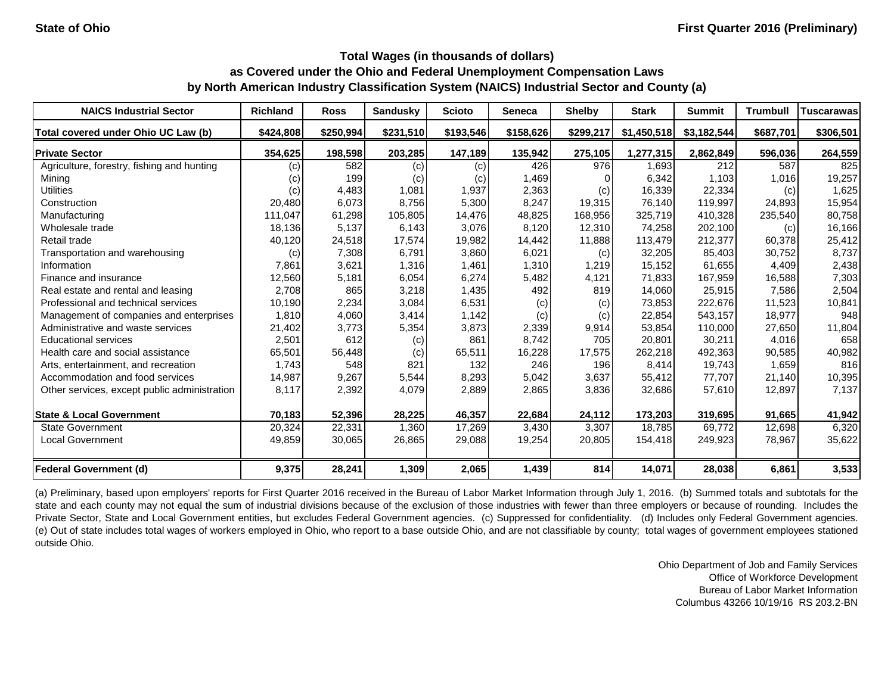| <b>NAICS Industrial Sector</b>               | <b>Richland</b> | <b>Ross</b> | <b>Sandusky</b> | <b>Scioto</b> | Seneca    | <b>Shelby</b> | <b>Stark</b> | <b>Summit</b> | <b>Trumbull</b> | Tuscarawas |
|----------------------------------------------|-----------------|-------------|-----------------|---------------|-----------|---------------|--------------|---------------|-----------------|------------|
| Total covered under Ohio UC Law (b)          | \$424,808       | \$250,994   | \$231,510       | \$193,546     | \$158,626 | \$299,217     | \$1,450,518  | \$3,182,544   | \$687,701       | \$306,501  |
| <b>Private Sector</b>                        | 354.625         | 198,598     | 203,285         | 147,189       | 135,942   | 275,105       | 1,277,315    | 2,862,849     | 596,036         | 264,559    |
| Agriculture, forestry, fishing and hunting   | (c)             | 582         | (c)             | (c)           | 426       | 976           | 1.693        | 212           | 587             | 825        |
| Mining                                       | (c)             | 199         | (c)             | (c)           | 1,469     |               | 6,342        | 1.103         | 1,016           | 19,257     |
| <b>Utilities</b>                             | (c)             | 4,483       | 1,081           | 1,937         | 2,363     | (c)           | 16,339       | 22,334        | (c)             | 1,625      |
| Construction                                 | 20,480          | 6,073       | 8,756           | 5,300         | 8,247     | 19,315        | 76,140       | 119,997       | 24,893          | 15,954     |
| Manufacturing                                | 111,047         | 61,298      | 105,805         | 14,476        | 48,825    | 168,956       | 325,719      | 410,328       | 235,540         | 80,758     |
| Wholesale trade                              | 18,136          | 5,137       | 6,143           | 3,076         | 8,120     | 12,310        | 74,258       | 202,100       | (c)             | 16,166     |
| Retail trade                                 | 40,120          | 24,518      | 17,574          | 19,982        | 14,442    | 11,888        | 113,479      | 212,377       | 60,378          | 25,412     |
| Transportation and warehousing               | (c)             | 7,308       | 6,791           | 3,860         | 6,021     | (c)           | 32,205       | 85,403        | 30,752          | 8,737      |
| Information                                  | 7,861           | 3,621       | 1,316           | 1,461         | 1,310     | 1,219         | 15,152       | 61,655        | 4,409           | 2,438      |
| Finance and insurance                        | 12,560          | 5,181       | 6,054           | 6,274         | 5,482     | 4,121         | 71,833       | 167,959       | 16,588          | 7,303      |
| Real estate and rental and leasing           | 2,708           | 865         | 3,218           | 1,435         | 492       | 819           | 14,060       | 25,915        | 7,586           | 2,504      |
| Professional and technical services          | 10,190          | 2,234       | 3,084           | 6,531         | (c)       | (c)           | 73,853       | 222,676       | 11,523          | 10,841     |
| Management of companies and enterprises      | 1,810           | 4,060       | 3,414           | 1,142         | (c)       | (c)           | 22,854       | 543,157       | 18,977          | 948        |
| Administrative and waste services            | 21,402          | 3,773       | 5,354           | 3,873         | 2,339     | 9,914         | 53,854       | 110,000       | 27,650          | 11,804     |
| <b>Educational services</b>                  | 2,501           | 612         | (c)             | 861           | 8,742     | 705           | 20,801       | 30,211        | 4,016           | 658        |
| Health care and social assistance            | 65,501          | 56,448      | (c)             | 65,511        | 16,228    | 17,575        | 262,218      | 492.363       | 90,585          | 40,982     |
| Arts, entertainment, and recreation          | 1,743           | 548         | 821             | 132           | 246       | 196           | 8,414        | 19,743        | 1,659           | 816        |
| Accommodation and food services              | 14,987          | 9,267       | 5,544           | 8,293         | 5,042     | 3,637         | 55,412       | 77,707        | 21,140          | 10,395     |
| Other services, except public administration | 8,117           | 2,392       | 4,079           | 2,889         | 2,865     | 3,836         | 32,686       | 57,610        | 12,897          | 7,137      |
| <b>State &amp; Local Government</b>          | 70,183          | 52,396      | 28,225          | 46,357        | 22,684    | 24,112        | 173,203      | 319,695       | 91,665          | 41,942     |
| <b>State Government</b>                      | 20,324          | 22,331      | 1,360           | 17,269        | 3,430     | 3,307         | 18,785       | 69,772        | 12,698          | 6,320      |
| <b>Local Government</b>                      | 49,859          | 30,065      | 26,865          | 29,088        | 19,254    | 20,805        | 154,418      | 249,923       | 78,967          | 35,622     |
| <b>Federal Government (d)</b>                | 9,375           | 28,241      | 1,309           | 2,065         | 1,439     | 814           | 14,071       | 28,038        | 6,861           | 3,533      |

(a) Preliminary, based upon employers' reports for First Quarter 2016 received in the Bureau of Labor Market Information through July 1, 2016. (b) Summed totals and subtotals for the state and each county may not equal the sum of industrial divisions because of the exclusion of those industries with fewer than three employers or because of rounding. Includes the Private Sector, State and Local Government entities, but excludes Federal Government agencies. (c) Suppressed for confidentiality. (d) Includes only Federal Government agencies. (e) Out of state includes total wages of workers employed in Ohio, who report to a base outside Ohio, and are not classifiable by county; total wages of government employees stationed outside Ohio.